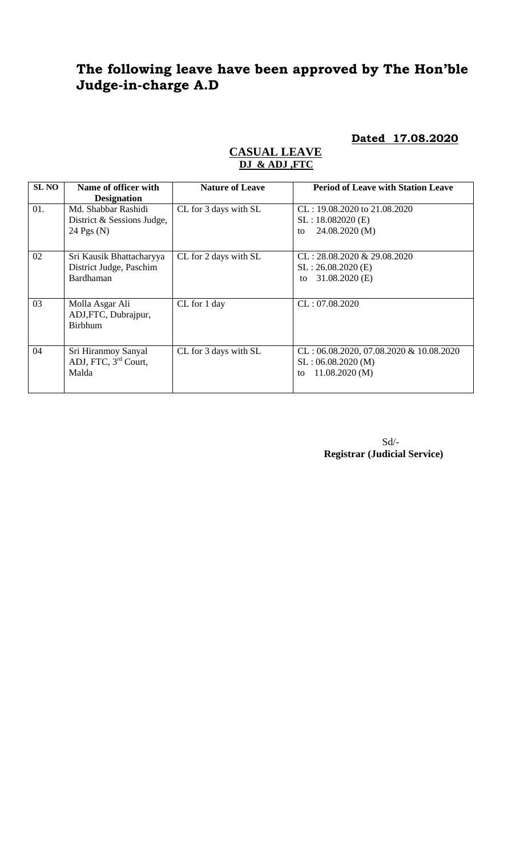# **The following leave have been approved by The Hon'ble Judge-in-charge A.D**

**Dated 17.08.2020**

| <b>SL NO</b> | Name of officer with                                                                    | <b>Nature of Leave</b> | <b>Period of Leave with Station Leave</b>                                              |
|--------------|-----------------------------------------------------------------------------------------|------------------------|----------------------------------------------------------------------------------------|
| 01.          | <b>Designation</b><br>Md. Shabbar Rashidi<br>District & Sessions Judge,<br>24 Pgs $(N)$ | CL for 3 days with SL  | $CL: 19.08.2020$ to $21.08.2020$<br>$SL: 18.082020$ (E)<br>24.08.2020 (M)<br>to        |
| 02           | Sri Kausik Bhattacharyya<br>District Judge, Paschim<br>Bardhaman                        | CL for 2 days with SL  | $CL: 28.08.2020 \& 29.08.2020$<br>SL: 26.08.2020 (E)<br>$31.08.2020$ (E)<br>to         |
| 03           | Molla Asgar Ali<br>ADJ, FTC, Dubrajpur,<br><b>Birbhum</b>                               | CL for 1 day           | CL: 07.08.2020                                                                         |
| 04           | Sri Hiranmoy Sanyal<br>ADJ, FTC, 3rd Court,<br>Malda                                    | CL for 3 days with SL  | $CL: 06.08.2020, 07.08.2020 \& 10.08.2020$<br>SL: 06.08.2020(M)<br>11.08.2020(M)<br>to |

#### **CASUAL LEAVE DJ & ADJ ,FTC**

Sd/- **Registrar (Judicial Service)**